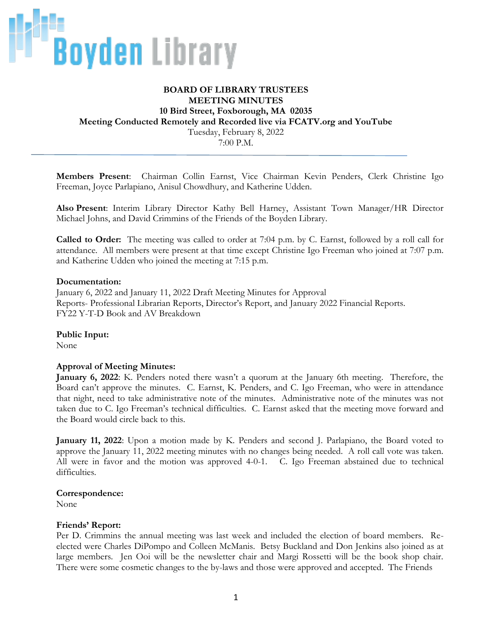

# **BOARD OF LIBRARY TRUSTEES MEETING MINUTES 10 Bird Street, Foxborough, MA 02035 Meeting Conducted Remotely and Recorded live via FCATV.org and YouTube** Tuesday, February 8, 2022 7:00 P.M.

**Members Present**: Chairman Collin Earnst, Vice Chairman Kevin Penders, Clerk Christine Igo Freeman, Joyce Parlapiano, Anisul Chowdhury, and Katherine Udden.

**Also Present**: Interim Library Director Kathy Bell Harney, Assistant Town Manager/HR Director Michael Johns, and David Crimmins of the Friends of the Boyden Library.

**Called to Order:** The meeting was called to order at 7:04 p.m. by C. Earnst, followed by a roll call for attendance. All members were present at that time except Christine Igo Freeman who joined at 7:07 p.m. and Katherine Udden who joined the meeting at 7:15 p.m.

#### **Documentation:**

January 6, 2022 and January 11, 2022 Draft Meeting Minutes for Approval Reports- Professional Librarian Reports, Director's Report, and January 2022 Financial Reports. FY22 Y-T-D Book and AV Breakdown

**Public Input:** None

#### **Approval of Meeting Minutes:**

**January 6, 2022**: K. Penders noted there wasn't a quorum at the January 6th meeting. Therefore, the Board can't approve the minutes. C. Earnst, K. Penders, and C. Igo Freeman, who were in attendance that night, need to take administrative note of the minutes. Administrative note of the minutes was not taken due to C. Igo Freeman's technical difficulties. C. Earnst asked that the meeting move forward and the Board would circle back to this.

**January 11, 2022**: Upon a motion made by K. Penders and second J. Parlapiano, the Board voted to approve the January 11, 2022 meeting minutes with no changes being needed. A roll call vote was taken. All were in favor and the motion was approved 4-0-1. C. Igo Freeman abstained due to technical difficulties.

#### **Correspondence:**

None

#### **Friends' Report:**

Per D. Crimmins the annual meeting was last week and included the election of board members. Reelected were Charles DiPompo and Colleen McManis. Betsy Buckland and Don Jenkins also joined as at large members. Jen Ooi will be the newsletter chair and Margi Rossetti will be the book shop chair. There were some cosmetic changes to the by-laws and those were approved and accepted. The Friends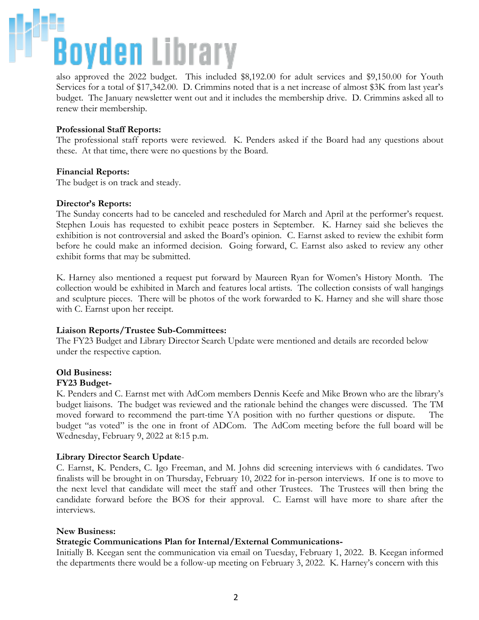# **Boyden** Library

also approved the 2022 budget. This included \$8,192.00 for adult services and \$9,150.00 for Youth Services for a total of \$17,342.00. D. Crimmins noted that is a net increase of almost \$3K from last year's budget. The January newsletter went out and it includes the membership drive. D. Crimmins asked all to renew their membership.

## **Professional Staff Reports:**

The professional staff reports were reviewed. K. Penders asked if the Board had any questions about these. At that time, there were no questions by the Board.

### **Financial Reports:**

The budget is on track and steady.

#### **Director's Reports:**

The Sunday concerts had to be canceled and rescheduled for March and April at the performer's request. Stephen Louis has requested to exhibit peace posters in September. K. Harney said she believes the exhibition is not controversial and asked the Board's opinion. C. Earnst asked to review the exhibit form before he could make an informed decision. Going forward, C. Earnst also asked to review any other exhibit forms that may be submitted.

K. Harney also mentioned a request put forward by Maureen Ryan for Women's History Month. The collection would be exhibited in March and features local artists. The collection consists of wall hangings and sculpture pieces. There will be photos of the work forwarded to K. Harney and she will share those with C. Earnst upon her receipt.

### **Liaison Reports/Trustee Sub-Committees:**

The FY23 Budget and Library Director Search Update were mentioned and details are recorded below under the respective caption.

### **Old Business:**

#### **FY23 Budget-**

K. Penders and C. Earnst met with AdCom members Dennis Keefe and Mike Brown who are the library's budget liaisons. The budget was reviewed and the rationale behind the changes were discussed. The TM moved forward to recommend the part-time YA position with no further questions or dispute. The budget "as voted" is the one in front of ADCom. The AdCom meeting before the full board will be Wednesday, February 9, 2022 at 8:15 p.m.

### **Library Director Search Update**-

C. Earnst, K. Penders, C. Igo Freeman, and M. Johns did screening interviews with 6 candidates. Two finalists will be brought in on Thursday, February 10, 2022 for in-person interviews. If one is to move to the next level that candidate will meet the staff and other Trustees. The Trustees will then bring the candidate forward before the BOS for their approval. C. Earnst will have more to share after the interviews.

#### **New Business:**

### **Strategic Communications Plan for Internal/External Communications-**

Initially B. Keegan sent the communication via email on Tuesday, February 1, 2022. B. Keegan informed the departments there would be a follow-up meeting on February 3, 2022. K. Harney's concern with this